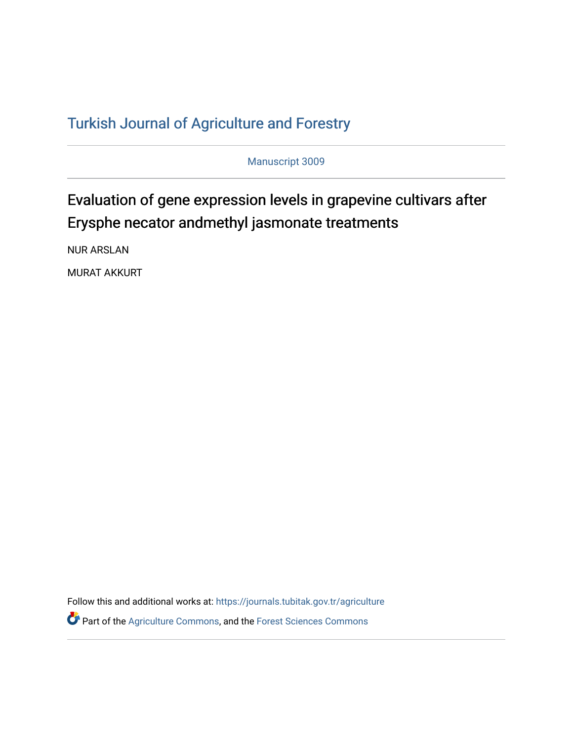## T[urkish Journal of Agriculture and F](https://journals.tubitak.gov.tr/agriculture)orestry

Manuscript 3009

# Evaluation of gene expression levels in grapevine cultivars after Erysphe necator andmethyl jasmonate treatments

NUR ARSLAN

MURAT AKKURT

Follow this and additional works at: [https://journals.tubitak.gov.tr/agriculture](https://journals.tubitak.gov.tr/agriculture?utm_source=journals.tubitak.gov.tr%2Fagriculture%2Fvol46%2Fiss3%2F9&utm_medium=PDF&utm_campaign=PDFCoverPages)

**P** Part of the [Agriculture Commons](https://network.bepress.com/hgg/discipline/1076?utm_source=journals.tubitak.gov.tr%2Fagriculture%2Fvol46%2Fiss3%2F9&utm_medium=PDF&utm_campaign=PDFCoverPages), and the Forest Sciences Commons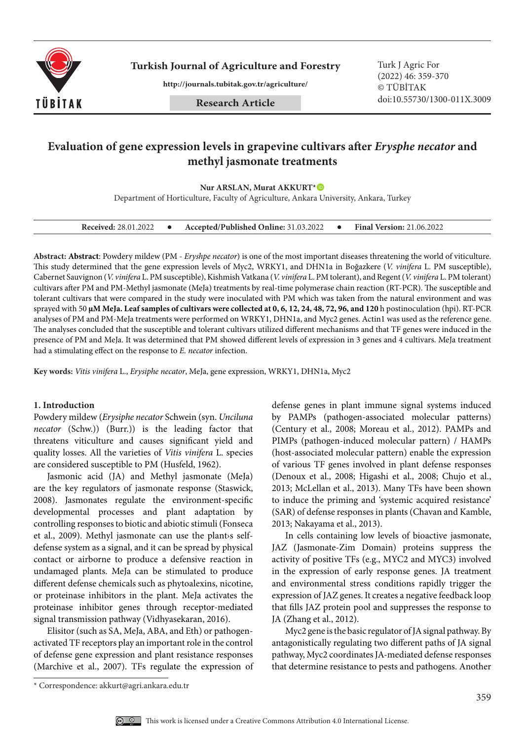

**Turkish Journal of Agriculture and Forestry Turk J Agric For** 

**http://journals.tubitak.gov.tr/agriculture/**

(2022) 46: 359-370 © TÜBİTAK doi:10.55730/1300-011X.3009

## **Evaluation of gene expression levels in grapevine cultivars after** *Erysphe necator* **and methyl jasmonate treatments**

**Nur ARSLAN, Murat AKKURT\***

Department of Horticulture, Faculty of Agriculture, Ankara University, Ankara, Turkey

| <b>Received: 28.01.2022</b> |  | Accepted/Published Online: 31.03.2022 |  | <b>Final Version: 21.06.2022</b> |
|-----------------------------|--|---------------------------------------|--|----------------------------------|
|-----------------------------|--|---------------------------------------|--|----------------------------------|

**Abstract: Abstract**: Powdery mildew (PM - *Eryshpe necator*) is one of the most important diseases threatening the world of viticulture. This study determined that the gene expression levels of Myc2, WRKY1, and DHN1a in Boğazkere (*V. vinifera* L. PM susceptible), Cabernet Sauvignon (*V. vinifera* L. PM susceptible), Kishmish Vatkana (*V. vinifera* L. PM tolerant), and Regent (*V. vinifera* L. PM tolerant) cultivars after PM and PM-Methyl jasmonate (MeJa) treatments by real-time polymerase chain reaction (RT-PCR). The susceptible and tolerant cultivars that were compared in the study were inoculated with PM which was taken from the natural environment and was sprayed with 50 **μM MeJa. Leaf samples of cultivars were collected at 0, 6, 12, 24, 48, 72, 96, and 120** h postinoculation (hpi). RT-PCR analyses of PM and PM-MeJa treatments were performed on WRKY1, DHN1a, and Myc2 genes. Actin1 was used as the reference gene. The analyses concluded that the susceptible and tolerant cultivars utilized different mechanisms and that TF genes were induced in the presence of PM and MeJa. It was determined that PM showed different levels of expression in 3 genes and 4 cultivars. MeJa treatment had a stimulating effect on the response to *E. necator* infection.

**Key words:** *Vitis vinifera* L., *Erysiphe necator*, MeJa, gene expression, WRKY1, DHN1a, Myc2

#### **1. Introduction**

Powdery mildew (*Erysiphe necator* Schwein (syn. *Unciluna necator*  (Schw.)) (Burr.)) is the leading factor that threatens viticulture and causes significant yield and quality losses. All the varieties of *Vitis vinifera* L. species are considered susceptible to PM (Husfeld, 1962).

Jasmonic acid (JA) and Methyl jasmonate (MeJa) are the key regulators of jasmonate response (Staswick, 2008). Jasmonates regulate the environment-specific developmental processes and plant adaptation by controlling responses to biotic and abiotic stimuli(Fonseca et al., 2009). Methyl jasmonate can use the plant is selfdefense system as a signal, and it can be spread by physical contact or airborne to produce a defensive reaction in undamaged plants. MeJa can be stimulated to produce different defense chemicals such as phytoalexins, nicotine, or proteinase inhibitors in the plant. MeJa activates the proteinase inhibitor genes through receptor-mediated signal transmission pathway (Vidhyasekaran, 2016).

Elisitor (such as SA, MeJa, ABA, and Eth) or pathogenactivated TF receptors play an important role in the control of defense gene expression and plant resistance responses (Marchive et al., 2007). TFs regulate the expression of defense genes in plant immune signal systems induced by PAMPs (pathogen-associated molecular patterns) (Century et al., 2008; Moreau et al., 2012). PAMPs and PIMPs (pathogen-induced molecular pattern) / HAMPs (host-associated molecular pattern) enable the expression of various TF genes involved in plant defense responses (Denoux et al., 2008; Higashi et al., 2008; Chujo et al., 2013; McLellan et al., 2013). Many TFs have been shown to induce the priming and 'systemic acquired resistance' (SAR) of defense responses in plants (Chavan and Kamble, 2013; Nakayama et al., 2013).

In cells containing low levels of bioactive jasmonate, JAZ (Jasmonate-Zim Domain) proteins suppress the activity of positive TFs (e.g., MYC2 and MYC3) involved in the expression of early response genes. JA treatment and environmental stress conditions rapidly trigger the expression of JAZ genes. It creates a negative feedback loop that fills JAZ protein pool and suppresses the response to JA (Zhang et al., 2012).

Myc2 gene is the basic regulator of JA signal pathway. By antagonistically regulating two different paths of JA signal pathway, Myc2 coordinates JA-mediated defense responses that determine resistance to pests and pathogens. Another

<sup>\*</sup> Correspondence: akkurt@agri.ankara.edu.tr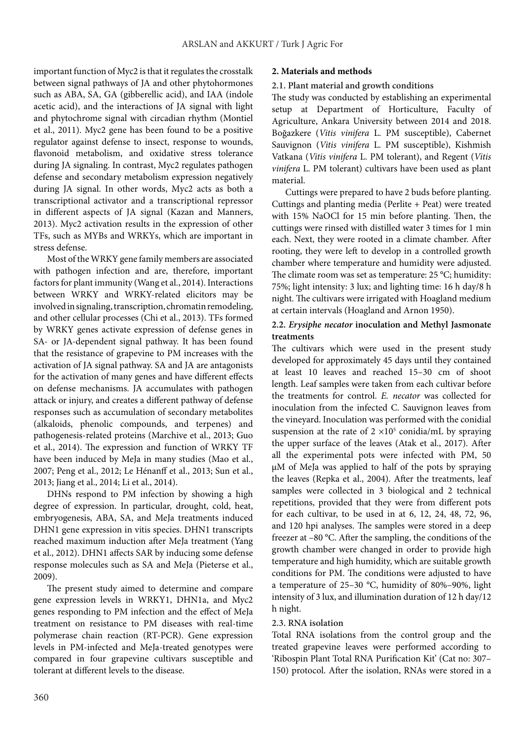important function of Myc2 is that it regulates the crosstalk between signal pathways of JA and other phytohormones such as ABA, SA, GA (gibberellic acid), and IAA (indole acetic acid), and the interactions of JA signal with light and phytochrome signal with circadian rhythm (Montiel et al., 2011). Myc2 gene has been found to be a positive regulator against defense to insect, response to wounds, flavonoid metabolism, and oxidative stress tolerance during JA signaling. In contrast, Myc2 regulates pathogen defense and secondary metabolism expression negatively during JA signal. In other words, Myc2 acts as both a transcriptional activator and a transcriptional repressor in different aspects of JA signal (Kazan and Manners, 2013). Myc2 activation results in the expression of other TFs, such as MYBs and WRKYs, which are important in stress defense.

Most of the WRKY gene family members are associated with pathogen infection and are, therefore, important factors for plant immunity (Wang et al., 2014). Interactions between WRKY and WRKY-related elicitors may be involved in signaling, transcription, chromatin remodeling, and other cellular processes (Chi et al., 2013). TFs formed by WRKY genes activate expression of defense genes in SA- or JA-dependent signal pathway. It has been found that the resistance of grapevine to PM increases with the activation of JA signal pathway. SA and JA are antagonists for the activation of many genes and have different effects on defense mechanisms. JA accumulates with pathogen attack or injury, and creates a different pathway of defense responses such as accumulation of secondary metabolites (alkaloids, phenolic compounds, and terpenes) and pathogenesis-related proteins (Marchive et al., 2013; Guo et al., 2014). The expression and function of WRKY TF have been induced by MeJa in many studies (Mao et al., 2007; Peng et al., 2012; Le Hénanff et al., 2013; Sun et al., 2013; Jiang et al., 2014; Li et al., 2014).

DHNs respond to PM infection by showing a high degree of expression. In particular, drought, cold, heat, embryogenesis, ABA, SA, and MeJa treatments induced DHN1 gene expression in vitis species. DHN1 transcripts reached maximum induction after MeJa treatment (Yang et al., 2012). DHN1 affects SAR by inducing some defense response molecules such as SA and MeJa (Pieterse et al., 2009).

The present study aimed to determine and compare gene expression levels in WRKY1, DHN1a, and Myc2 genes responding to PM infection and the effect of MeJa treatment on resistance to PM diseases with real-time polymerase chain reaction (RT-PCR). Gene expression levels in PM-infected and MeJa-treated genotypes were compared in four grapevine cultivars susceptible and tolerant at different levels to the disease.

## **2. Materials and methods**

#### **2.1. Plant material and growth conditions**

The study was conducted by establishing an experimental setup at Department of Horticulture, Faculty of Agriculture, Ankara University between 2014 and 2018. Boğazkere (*Vitis vinifera*  L. PM susceptible), Cabernet Sauvignon (*Vitis vinifera*  L. PM susceptible), Kishmish Vatkana (*Vitis vinifera* L. PM tolerant), and Regent (*Vitis vinifera* L. PM tolerant) cultivars have been used as plant material.

Cuttings were prepared to have 2 buds before planting. Cuttings and planting media (Perlite + Peat) were treated with 15% NaOCl for 15 min before planting. Then, the cuttings were rinsed with distilled water 3 times for 1 min each. Next, they were rooted in a climate chamber. After rooting, they were left to develop in a controlled growth chamber where temperature and humidity were adjusted. The climate room was set as temperature: 25 °C; humidity: 75%; light intensity: 3 lux; and lighting time: 16 h day/8 h night. The cultivars were irrigated with Hoagland medium at certain intervals (Hoagland and Arnon 1950).

## **2.2.** *Erysiphe necator* **inoculation and Methyl Jasmonate treatments**

The cultivars which were used in the present study developed for approximately 45 days until they contained at least 10 leaves and reached 15–30 cm of shoot length. Leaf samples were taken from each cultivar before the treatments for control. *E. necator*  was collected for inoculation from the infected C. Sauvignon leaves from the vineyard. Inoculation was performed with the conidial suspension at the rate of  $2 \times 10^5$  conidia/mL by spraying the upper surface of the leaves (Atak et al., 2017). After all the experimental pots were infected with PM, 50 μM of MeJa was applied to half of the pots by spraying the leaves (Repka et al., 2004). After the treatments, leaf samples were collected in 3 biological and 2 technical repetitions, provided that they were from different pots for each cultivar, to be used in at 6, 12, 24, 48, 72, 96, and 120 hpi analyses. The samples were stored in a deep freezer at –80 °C. After the sampling, the conditions of the growth chamber were changed in order to provide high temperature and high humidity, which are suitable growth conditions for PM. The conditions were adjusted to have a temperature of 25–30 °C, humidity of 80%–90%, light intensity of 3 lux, and illumination duration of 12 h day/12 h night.

## **2.3. RNA isolation**

Total RNA isolations from the control group and the treated grapevine leaves were performed according to 'Ribospin Plant Total RNA Purification Kit' (Cat no: 307– 150) protocol. After the isolation, RNAs were stored in a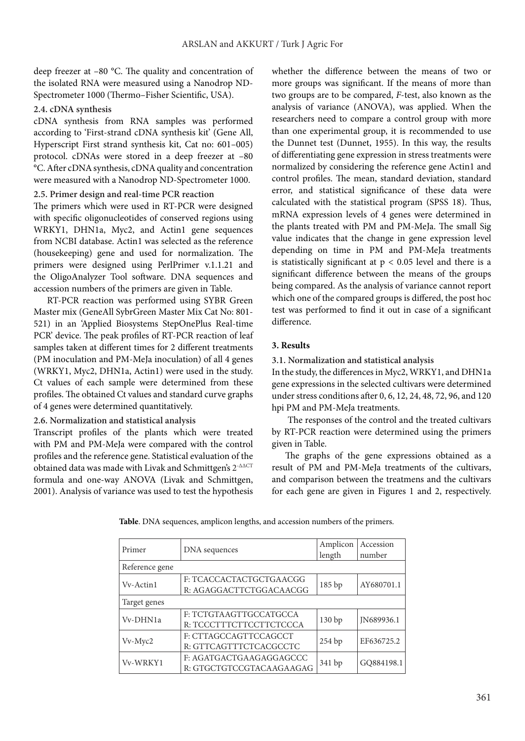deep freezer at –80 °C. The quality and concentration of the isolated RNA were measured using a Nanodrop ND-Spectrometer 1000 (Thermo–Fisher Scientific, USA).

#### **2.4. cDNA synthesis**

cDNA synthesis from RNA samples was performed according to 'First-strand cDNA synthesis kit' (Gene All, Hyperscript First strand synthesis kit, Cat no: 601–005) protocol. cDNAs were stored in a deep freezer at –80 °C. After cDNA synthesis, cDNA quality and concentration were measured with a Nanodrop ND-Spectrometer 1000.

## **2.5. Primer design and real-time PCR reaction**

The primers which were used in RT-PCR were designed with specific oligonucleotides of conserved regions using WRKY1, DHN1a, Myc2, and Actin1 gene sequences from NCBI database. Actin1 was selected as the reference (housekeeping) gene and used for normalization. The primers were designed using PerlPrimer v.1.1.21 and the OligoAnalyzer Tool software. DNA sequences and accession numbers of the primers are given in Table.

RT-PCR reaction was performed using SYBR Green Master mix (GeneAll SybrGreen Master Mix Cat No: 801- 521) in an 'Applied Biosystems StepOnePlus Real-time PCR' device. The peak profiles of RT-PCR reaction of leaf samples taken at different times for 2 different treatments (PM inoculation and PM-MeJa inoculation) of all 4 genes (WRKY1, Myc2, DHN1a, Actin1) were used in the study. Ct values of each sample were determined from these profiles. The obtained Ct values and standard curve graphs of 4 genes were determined quantitatively.

**2.6. Normalization and statistical analysis**

Transcript profiles of the plants which were treated with PM and PM-MeJa were compared with the control profiles and the reference gene. Statistical evaluation of the obtained data was made with Livak and Schmittgen's 2<sup>-ΔΔCT</sup> formula and one-way ANOVA (Livak and Schmittgen, 2001). Analysis of variance was used to test the hypothesis

whether the difference between the means of two or more groups was significant. If the means of more than two groups are to be compared, *F*-test, also known as the analysis of variance (ANOVA), was applied. When the researchers need to compare a control group with more than one experimental group, it is recommended to use the Dunnet test (Dunnet, 1955). In this way, the results of differentiating gene expression in stress treatments were normalized by considering the reference gene Actin1 and control profiles. The mean, standard deviation, standard error, and statistical significance of these data were calculated with the statistical program (SPSS 18). Thus, mRNA expression levels of 4 genes were determined in the plants treated with PM and PM-MeJa. The small Sig value indicates that the change in gene expression level depending on time in PM and PM-MeJa treatments is statistically significant at  $p < 0.05$  level and there is a significant difference between the means of the groups being compared. As the analysis of variance cannot report which one of the compared groups is differed, the post hoc test was performed to find it out in case of a significant difference.

## **3. Results**

**3.1. Normalization and statistical analysis**

In the study, the differences in Myc2, WRKY1, and DHN1a gene expressions in the selected cultivars were determined under stress conditions after 0, 6, 12, 24, 48, 72, 96, and 120 hpi PM and PM-MeJa treatments.

 The responses of the control and the treated cultivars by RT-PCR reaction were determined using the primers given in Table.

The graphs of the gene expressions obtained as a result of PM and PM-MeJa treatments of the cultivars, and comparison between the treatmens and the cultivars for each gene are given in Figures 1 and 2, respectively.

| Table. DNA sequences, amplicon lengths, and accession numbers of the primers. |  |
|-------------------------------------------------------------------------------|--|
|-------------------------------------------------------------------------------|--|

| Primer         | DNA sequences                                       | Amplicon<br>length | Accession<br>number |
|----------------|-----------------------------------------------------|--------------------|---------------------|
| Reference gene |                                                     |                    |                     |
| Vv-Actin1      | F: TCACCACTACTGCTGAACGG<br>R: AGAGGACTTCTGGACAACGG  | 185bp              | AY680701.1          |
| Target genes   |                                                     |                    |                     |
| Vv-DHN1a       | F: TCTGTAAGTTGCCATGCCA<br>R: TCCCTTTCTTCCTTCTCCCA   | 130bp              | IN689936.1          |
| $Vv$ - $Myc2$  | F: CTTAGCCAGTTCCAGCCT<br>R: GTTCAGTTTCTCACGCCTC     | 254bp              | EF636725.2          |
| Vv-WRKY1       | F: AGATGACTGAAGAGGAGCCC<br>R: GTGCTGTCCGTACAAGAAGAG | 341 bp             | GO884198.1          |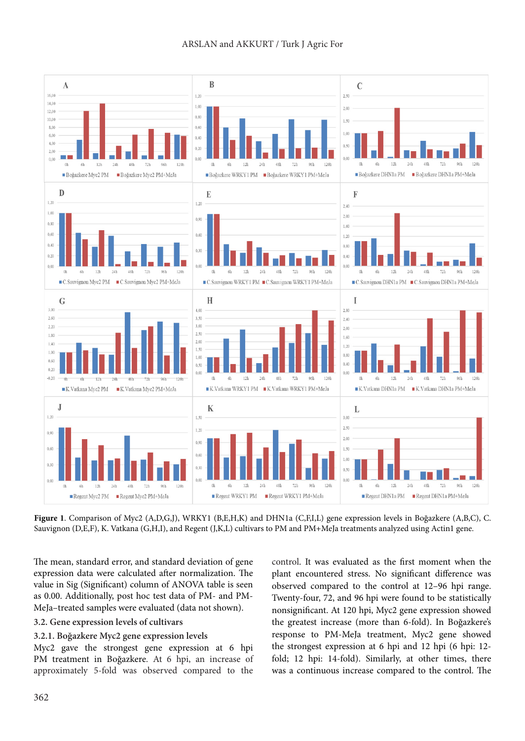

**Figure 1**. Comparison of Myc2 (A,D,G,J), WRKY1 (B,E,H,K) and DHN1a (C,F,I,L) gene expression levels in Boğazkere (A,B,C), C. Sauvignon (D,E,F), K. Vatkana (G,H,I), and Regent (J,K,L) cultivars to PM and PM+MeJa treatments analyzed using Actin1 gene.

The mean, standard error, and standard deviation of gene expression data were calculated after normalization. The value in Sig (Significant) column of ANOVA table is seen as 0.00. Additionally, post hoc test data of PM- and PM-MeJa–treated samples were evaluated (data not shown).

## **3.2. Gene expression levels of cultivars**

## **3.2.1. Boğazkere Myc2 gene expression levels**

Myc2 gave the strongest gene expression at 6 hpi PM treatment in Boğazkere. At 6 hpi, an increase of approximately 5-fold was observed compared to the control. It was evaluated as the first moment when the plant encountered stress. No significant difference was observed compared to the control at 12–96 hpi range. Twenty-four, 72, and 96 hpi were found to be statistically nonsignificant. At 120 hpi, Myc2 gene expression showed the greatest increase (more than 6-fold). In Boğazkere's response to PM-MeJa treatment, Myc2 gene showed the strongest expression at 6 hpi and 12 hpi (6 hpi: 12 fold; 12 hpi: 14-fold). Similarly, at other times, there was a continuous increase compared to the control. The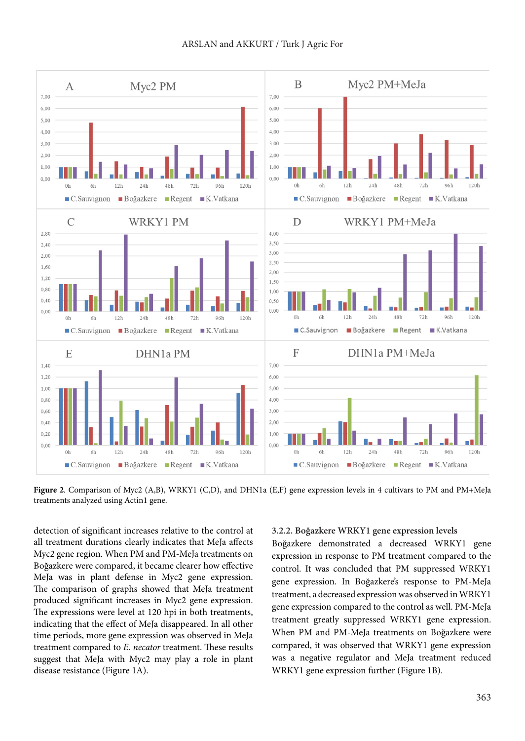

**Figure 2**. Comparison of Myc2 (A,B), WRKY1 (C,D), and DHN1a (E,F) gene expression levels in 4 cultivars to PM and PM+MeJa treatments analyzed using Actin1 gene.

detection of significant increases relative to the control at all treatment durations clearly indicates that MeJa affects Myc2 gene region. When PM and PM-MeJa treatments on Boğazkere were compared, it became clearer how effective MeJa was in plant defense in Myc2 gene expression. The comparison of graphs showed that MeJa treatment produced significant increases in Myc2 gene expression. The expressions were level at 120 hpi in both treatments, indicating that the effect of MeJa disappeared. In all other time periods, more gene expression was observed in MeJa treatment compared to *E. necator* treatment. These results suggest that MeJa with Myc2 may play a role in plant disease resistance (Figure 1A).

#### **3.2.2. Boğazkere WRKY1 gene expression levels**

Boğazkere demonstrated a decreased WRKY1 gene expression in response to PM treatment compared to the control. It was concluded that PM suppressed WRKY1 gene expression. In Boğazkere's response to PM-MeJa treatment, a decreased expression was observed in WRKY1 gene expression compared to the control as well. PM-MeJa treatment greatly suppressed WRKY1 gene expression. When PM and PM-MeJa treatments on Boğazkere were compared, it was observed that WRKY1 gene expression was a negative regulator and MeJa treatment reduced WRKY1 gene expression further (Figure 1B).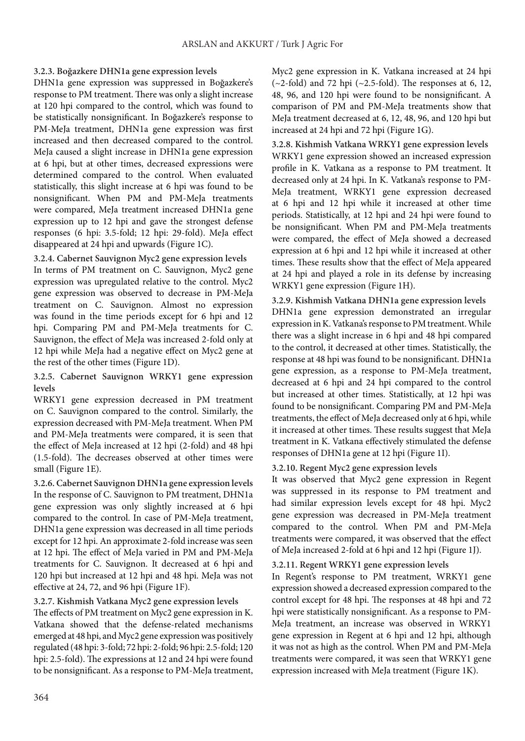## **3.2.3. Boğazkere DHN1a gene expression levels**

DHN1a gene expression was suppressed in Boğazkere's response to PM treatment. There was only a slight increase at 120 hpi compared to the control, which was found to be statistically nonsignificant. In Boğazkere's response to PM-MeJa treatment, DHN1a gene expression was first increased and then decreased compared to the control. MeJa caused a slight increase in DHN1a gene expression at 6 hpi, but at other times, decreased expressions were determined compared to the control. When evaluated statistically, this slight increase at 6 hpi was found to be nonsignificant. When PM and PM-MeJa treatments were compared, MeJa treatment increased DHN1a gene expression up to 12 hpi and gave the strongest defense responses (6 hpi: 3.5-fold; 12 hpi: 29-fold). MeJa effect disappeared at 24 hpi and upwards (Figure 1C).

**3.2.4. Cabernet Sauvignon Myc2 gene expression levels** In terms of PM treatment on C. Sauvignon, Myc2 gene expression was upregulated relative to the control. Myc2 gene expression was observed to decrease in PM-MeJa treatment on C. Sauvignon. Almost no expression was found in the time periods except for 6 hpi and 12 hpi. Comparing PM and PM-MeJa treatments for C. Sauvignon, the effect of MeJa was increased 2-fold only at 12 hpi while MeJa had a negative effect on Myc2 gene at the rest of the other times (Figure 1D).

## **3.2.5. Cabernet Sauvignon WRKY1 gene expression levels**

WRKY1 gene expression decreased in PM treatment on C. Sauvignon compared to the control. Similarly, the expression decreased with PM-MeJa treatment. When PM and PM-MeJa treatments were compared, it is seen that the effect of MeJa increased at 12 hpi (2-fold) and 48 hpi (1.5-fold). The decreases observed at other times were small (Figure 1E).

**3.2.6. Cabernet Sauvignon DHN1a gene expression levels** In the response of C. Sauvignon to PM treatment, DHN1a gene expression was only slightly increased at 6 hpi compared to the control. In case of PM-MeJa treatment, DHN1a gene expression was decreased in all time periods except for 12 hpi. An approximate 2-fold increase was seen at 12 hpi. The effect of MeJa varied in PM and PM-MeJa treatments for C. Sauvignon. It decreased at 6 hpi and 120 hpi but increased at 12 hpi and 48 hpi. MeJa was not effective at 24, 72, and 96 hpi (Figure 1F).

## **3.2.7. Kishmish Vatkana Myc2 gene expression levels**

The effects of PM treatment on Myc2 gene expression in K. Vatkana showed that the defense-related mechanisms emerged at 48 hpi, and Myc2 gene expression was positively regulated (48 hpi: 3-fold; 72 hpi: 2-fold; 96 hpi: 2.5-fold; 120 hpi: 2.5-fold). The expressions at 12 and 24 hpi were found to be nonsignificant. As a response to PM-MeJa treatment,

Myc2 gene expression in K. Vatkana increased at 24 hpi  $(-2-fold)$  and 72 hpi  $(-2.5-fold)$ . The responses at 6, 12, 48, 96, and 120 hpi were found to be nonsignificant. A comparison of PM and PM-MeJa treatments show that MeJa treatment decreased at 6, 12, 48, 96, and 120 hpi but increased at 24 hpi and 72 hpi (Figure 1G).

**3.2.8. Kishmish Vatkana WRKY1 gene expression levels** WRKY1 gene expression showed an increased expression profile in K. Vatkana as a response to PM treatment. It decreased only at 24 hpi. In K. Vatkana's response to PM-MeJa treatment, WRKY1 gene expression decreased at 6 hpi and 12 hpi while it increased at other time periods. Statistically, at 12 hpi and 24 hpi were found to be nonsignificant. When PM and PM-MeJa treatments were compared, the effect of MeJa showed a decreased expression at 6 hpi and 12 hpi while it increased at other times. These results show that the effect of MeJa appeared at 24 hpi and played a role in its defense by increasing WRKY1 gene expression (Figure 1H).

**3.2.9. Kishmish Vatkana DHN1a gene expression levels** DHN1a gene expression demonstrated an irregular expression in K. Vatkana's response to PM treatment. While there was a slight increase in 6 hpi and 48 hpi compared to the control, it decreased at other times. Statistically, the response at 48 hpi was found to be nonsignificant. DHN1a gene expression, as a response to PM-MeJa treatment, decreased at 6 hpi and 24 hpi compared to the control but increased at other times. Statistically, at 12 hpi was found to be nonsignificant. Comparing PM and PM-MeJa treatments, the effect of MeJa decreased only at 6 hpi, while it increased at other times. These results suggest that MeJa treatment in K. Vatkana effectively stimulated the defense responses of DHN1a gene at 12 hpi (Figure 1I).

## **3.2.10. Regent Myc2 gene expression levels**

It was observed that Myc2 gene expression in Regent was suppressed in its response to PM treatment and had similar expression levels except for 48 hpi. Myc2 gene expression was decreased in PM-MeJa treatment compared to the control. When PM and PM-MeJa treatments were compared, it was observed that the effect of MeJa increased 2-fold at 6 hpi and 12 hpi (Figure 1J).

## **3.2.11. Regent WRKY1 gene expression levels**

In Regent's response to PM treatment, WRKY1 gene expression showed a decreased expression compared to the control except for 48 hpi. The responses at 48 hpi and 72 hpi were statistically nonsignificant. As a response to PM-MeJa treatment, an increase was observed in WRKY1 gene expression in Regent at 6 hpi and 12 hpi, although it was not as high as the control. When PM and PM-MeJa treatments were compared, it was seen that WRKY1 gene expression increased with MeJa treatment (Figure 1K).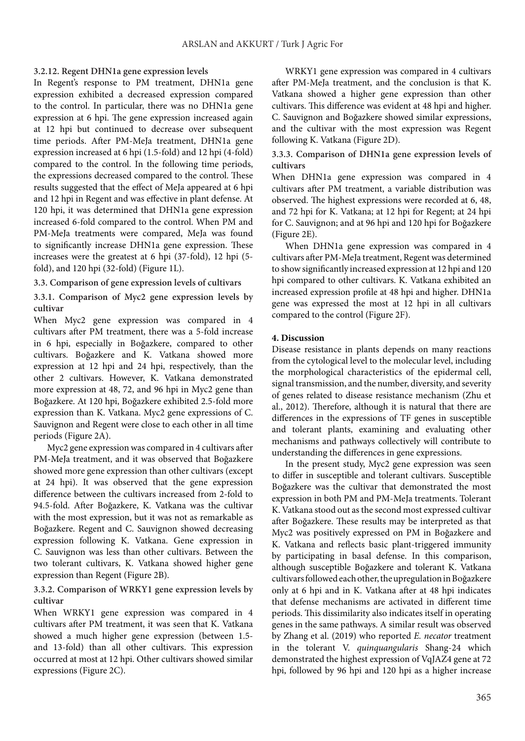#### **3.2.12. Regent DHN1a gene expression levels**

In Regent's response to PM treatment, DHN1a gene expression exhibited a decreased expression compared to the control. In particular, there was no DHN1a gene expression at 6 hpi. The gene expression increased again at 12 hpi but continued to decrease over subsequent time periods. After PM-MeJa treatment, DHN1a gene expression increased at 6 hpi (1.5-fold) and 12 hpi (4-fold) compared to the control. In the following time periods, the expressions decreased compared to the control. These results suggested that the effect of MeJa appeared at 6 hpi and 12 hpi in Regent and was effective in plant defense. At 120 hpi, it was determined that DHN1a gene expression increased 6-fold compared to the control. When PM and PM-MeJa treatments were compared, MeJa was found to significantly increase DHN1a gene expression. These increases were the greatest at 6 hpi (37-fold), 12 hpi (5 fold), and 120 hpi (32-fold) (Figure 1L).

## **3.3. Comparison of gene expression levels of cultivars**

**3.3.1. Comparison of Myc2 gene expression levels by cultivar**

When Myc2 gene expression was compared in 4 cultivars after PM treatment, there was a 5-fold increase in 6 hpi, especially in Boğazkere, compared to other cultivars. Boğazkere and K. Vatkana showed more expression at 12 hpi and 24 hpi, respectively, than the other 2 cultivars. However, K. Vatkana demonstrated more expression at 48, 72, and 96 hpi in Myc2 gene than Boğazkere. At 120 hpi, Boğazkere exhibited 2.5-fold more expression than K. Vatkana. Myc2 gene expressions of C. Sauvignon and Regent were close to each other in all time periods (Figure 2A).

Myc2 gene expression was compared in 4 cultivars after PM-MeJa treatment, and it was observed that Boğazkere showed more gene expression than other cultivars (except at 24 hpi). It was observed that the gene expression difference between the cultivars increased from 2-fold to 94.5-fold. After Boğazkere, K. Vatkana was the cultivar with the most expression, but it was not as remarkable as Boğazkere. Regent and C. Sauvignon showed decreasing expression following K. Vatkana. Gene expression in C. Sauvignon was less than other cultivars. Between the two tolerant cultivars, K. Vatkana showed higher gene expression than Regent (Figure 2B).

## **3.3.2. Comparison of WRKY1 gene expression levels by cultivar**

When WRKY1 gene expression was compared in 4 cultivars after PM treatment, it was seen that K. Vatkana showed a much higher gene expression (between 1.5 and 13-fold) than all other cultivars. This expression occurred at most at 12 hpi. Other cultivars showed similar expressions (Figure 2C).

WRKY1 gene expression was compared in 4 cultivars after PM-MeJa treatment, and the conclusion is that K. Vatkana showed a higher gene expression than other cultivars. This difference was evident at 48 hpi and higher. C. Sauvignon and Boğazkere showed similar expressions, and the cultivar with the most expression was Regent following K. Vatkana (Figure 2D).

**3.3.3. Comparison of DHN1a gene expression levels of cultivars**

When DHN1a gene expression was compared in 4 cultivars after PM treatment, a variable distribution was observed. The highest expressions were recorded at 6, 48, and 72 hpi for K. Vatkana; at 12 hpi for Regent; at 24 hpi for C. Sauvignon; and at 96 hpi and 120 hpi for Boğazkere (Figure 2E).

When DHN1a gene expression was compared in 4 cultivars after PM-MeJa treatment, Regent was determined to show significantly increased expression at 12 hpi and 120 hpi compared to other cultivars. K. Vatkana exhibited an increased expression profile at 48 hpi and higher. DHN1a gene was expressed the most at 12 hpi in all cultivars compared to the control (Figure 2F).

#### **4. Discussion**

Disease resistance in plants depends on many reactions from the cytological level to the molecular level, including the morphological characteristics of the epidermal cell, signal transmission, and the number, diversity, and severity of genes related to disease resistance mechanism (Zhu et al., 2012). Therefore, although it is natural that there are differences in the expressions of TF genes in susceptible and tolerant plants, examining and evaluating other mechanisms and pathways collectively will contribute to understanding the differences in gene expressions.

In the present study, Myc2 gene expression was seen to differ in susceptible and tolerant cultivars. Susceptible Boğazkere was the cultivar that demonstrated the most expression in both PM and PM-MeJa treatments. Tolerant K. Vatkana stood out as the second most expressed cultivar after Boğazkere. These results may be interpreted as that Myc2 was positively expressed on PM in Boğazkere and K. Vatkana and reflects basic plant-triggered immunity by participating in basal defense. In this comparison, although susceptible Boğazkere and tolerant K. Vatkana cultivars followed each other, the upregulation in Boğazkere only at 6 hpi and in K. Vatkana after at 48 hpi indicates that defense mechanisms are activated in different time periods. This dissimilarity also indicates itself in operating genes in the same pathways. A similar result was observed by Zhang et al. (2019) who reported *E. necator* treatment in the tolerant V. *quinquangularis* Shang-24 which demonstrated the highest expression of VqJAZ4 gene at 72 hpi, followed by 96 hpi and 120 hpi as a higher increase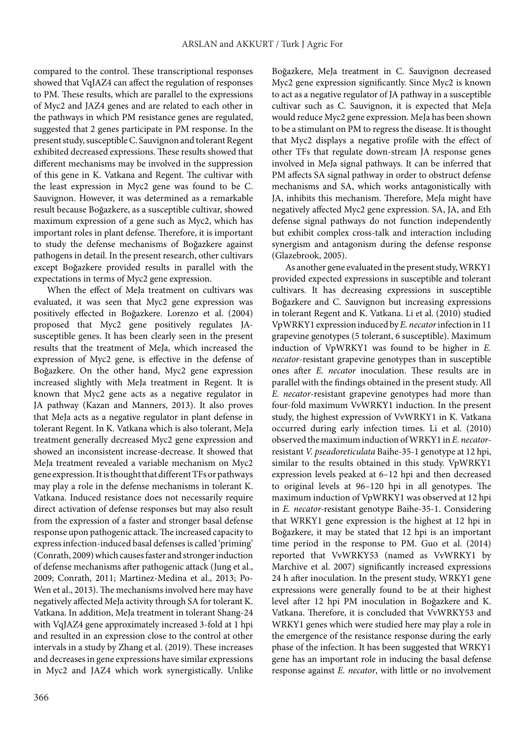compared to the control. These transcriptional responses showed that VqJAZ4 can affect the regulation of responses to PM. These results, which are parallel to the expressions of Myc2 and JAZ4 genes and are related to each other in the pathways in which PM resistance genes are regulated, suggested that 2 genes participate in PM response. In the present study, susceptible C. Sauvignon and tolerant Regent exhibited decreased expressions. These results showed that different mechanisms may be involved in the suppression of this gene in K. Vatkana and Regent. The cultivar with the least expression in Myc2 gene was found to be C. Sauvignon. However, it was determined as a remarkable result because Boğazkere, as a susceptible cultivar, showed maximum expression of a gene such as Myc2, which has important roles in plant defense. Therefore, it is important to study the defense mechanisms of Boğazkere against pathogens in detail. In the present research, other cultivars except Boğazkere provided results in parallel with the expectations in terms of Myc2 gene expression.

When the effect of MeJa treatment on cultivars was evaluated, it was seen that Myc2 gene expression was positively effected in Boğazkere. Lorenzo et al. (2004) proposed that Myc2 gene positively regulates JAsusceptible genes. It has been clearly seen in the present results that the treatment of MeJa, which increased the expression of Myc2 gene, is effective in the defense of Boğazkere. On the other hand, Myc2 gene expression increased slightly with MeJa treatment in Regent. It is known that Myc2 gene acts as a negative regulator in JA pathway (Kazan and Manners, 2013). It also proves that MeJa acts as a negative regulator in plant defense in tolerant Regent. In K. Vatkana which is also tolerant, MeJa treatment generally decreased Myc2 gene expression and showed an inconsistent increase-decrease. It showed that MeJa treatment revealed a variable mechanism on Myc2 gene expression. It is thought that different TFs or pathways may play a role in the defense mechanisms in tolerant K. Vatkana. Induced resistance does not necessarily require direct activation of defense responses but may also result from the expression of a faster and stronger basal defense response upon pathogenic attack. The increased capacity to express infection-induced basal defenses is called 'priming' (Conrath, 2009) which causes faster and stronger induction of defense mechanisms after pathogenic attack (Jung et al., 2009; Conrath, 2011; Martinez-Medina et al., 2013; Po-Wen et al., 2013). The mechanisms involved here may have negatively affected MeJa activity through SA for tolerant K. Vatkana. In addition, MeJa treatment in tolerant Shang-24 with VqJAZ4 gene approximately increased 3-fold at 1 hpi and resulted in an expression close to the control at other intervals in a study by Zhang et al. (2019). These increases and decreases in gene expressions have similar expressions in Myc2 and JAZ4 which work synergistically. Unlike

Boğazkere, MeJa treatment in C. Sauvignon decreased Myc2 gene expression significantly. Since Myc2 is known to act as a negative regulator of JA pathway in a susceptible cultivar such as C. Sauvignon, it is expected that MeJa would reduce Myc2 gene expression. MeJa has been shown to be a stimulant on PM to regress the disease. It is thought that Myc2 displays a negative profile with the effect of other TFs that regulate down-stream JA response genes involved in MeJa signal pathways. It can be inferred that PM affects SA signal pathway in order to obstruct defense mechanisms and SA, which works antagonistically with JA, inhibits this mechanism. Therefore, MeJa might have negatively affected Myc2 gene expression. SA, JA, and Eth defense signal pathways do not function independently but exhibit complex cross-talk and interaction including synergism and antagonism during the defense response (Glazebrook, 2005).

As another gene evaluated in the present study, WRKY1 provided expected expressions in susceptible and tolerant cultivars. It has decreasing expressions in susceptible Boğazkere and C. Sauvignon but increasing expressions in tolerant Regent and K. Vatkana. Li et al. (2010) studied VpWRKY1 expression induced by *E. necator* infection in 11 grapevine genotypes (5 tolerant, 6 susceptible). Maximum induction of VpWRKY1 was found to be higher in *E. necator*-resistant grapevine genotypes than in susceptible ones after *E. necator*  inoculation. These results are in parallel with the findings obtained in the present study. All *E. necator*-resistant grapevine genotypes had more than four-fold maximum VvWRKY1 induction. In the present study, the highest expression of VvWRKY1 in K. Vatkana occurred during early infection times. Li et al. (2010) observed the maximum induction of WRKY1 in *E. necator*resistant *V. pseadoreticulata* Baihe-35-1 genotype at 12 hpi, similar to the results obtained in this study. VpWRKY1 expression levels peaked at 6–12 hpi and then decreased to original levels at 96–120 hpi in all genotypes. The maximum induction of VpWRKY1 was observed at 12 hpi in *E. necator-*resistant genotype Baihe-35-1. Considering that WRKY1 gene expression is the highest at 12 hpi in Boğazkere, it may be stated that 12 hpi is an important time period in the response to PM. Guo et al. (2014) reported that VvWRKY53 (named as VvWRKY1 by Marchive et al. 2007) significantly increased expressions 24 h after inoculation. In the present study, WRKY1 gene expressions were generally found to be at their highest level after 12 hpi PM inoculation in Boğazkere and K. Vatkana. Therefore, it is concluded that VvWRKY53 and WRKY1 genes which were studied here may play a role in the emergence of the resistance response during the early phase of the infection. It has been suggested that WRKY1 gene has an important role in inducing the basal defense response against *E. necator*, with little or no involvement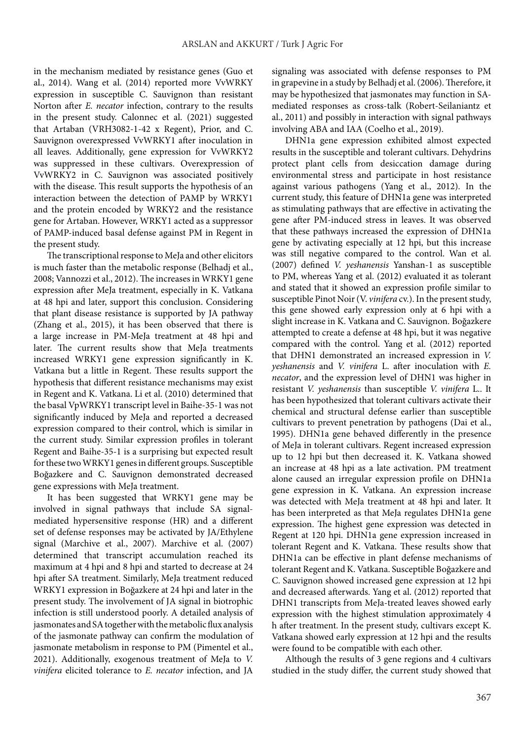in the mechanism mediated by resistance genes (Guo et al., 2014). Wang et al. (2014) reported more VvWRKY expression in susceptible C. Sauvignon than resistant Norton after *E. necator* infection, contrary to the results in the present study. Calonnec et al. (2021) suggested that Artaban (VRH3082-1-42 x Regent), Prior, and C. Sauvignon overexpressed VvWRKY1 after inoculation in all leaves. Additionally, gene expression for VvWRKY2 was suppressed in these cultivars. Overexpression of VvWRKY2 in C. Sauvignon was associated positively with the disease. This result supports the hypothesis of an interaction between the detection of PAMP by WRKY1 and the protein encoded by WRKY2 and the resistance gene for Artaban. However, WRKY1 acted as a suppressor of PAMP-induced basal defense against PM in Regent in the present study.

The transcriptional response to MeJa and other elicitors is much faster than the metabolic response (Belhadj et al., 2008; Vannozzi et al., 2012). The increases in WRKY1 gene expression after MeJa treatment, especially in K. Vatkana at 48 hpi and later, support this conclusion. Considering that plant disease resistance is supported by JA pathway (Zhang et al., 2015), it has been observed that there is a large increase in PM-MeJa treatment at 48 hpi and later. The current results show that MeJa treatments increased WRKY1 gene expression significantly in K. Vatkana but a little in Regent. These results support the hypothesis that different resistance mechanisms may exist in Regent and K. Vatkana. Li et al. (2010) determined that the basal VpWRKY1 transcript level in Baihe-35-1 was not significantly induced by MeJa and reported a decreased expression compared to their control, which is similar in the current study. Similar expression profiles in tolerant Regent and Baihe-35-1 is a surprising but expected result for these two WRKY1 genes in different groups. Susceptible Boğazkere and C. Sauvignon demonstrated decreased gene expressions with MeJa treatment.

It has been suggested that WRKY1 gene may be involved in signal pathways that include SA signalmediated hypersensitive response (HR) and a different set of defense responses may be activated by JA/Ethylene signal (Marchive et al., 2007). Marchive et al. (2007) determined that transcript accumulation reached its maximum at 4 hpi and 8 hpi and started to decrease at 24 hpi after SA treatment. Similarly, MeJa treatment reduced WRKY1 expression in Boğazkere at 24 hpi and later in the present study. The involvement of JA signal in biotrophic infection is still understood poorly. A detailed analysis of jasmonates and SA together with the metabolic flux analysis of the jasmonate pathway can confirm the modulation of jasmonate metabolism in response to PM (Pimentel et al., 2021). Additionally, exogenous treatment of MeJa to *V. vinifera*  elicited tolerance to *E. necator* infection, and JA

signaling was associated with defense responses to PM in grapevine in a study by Belhadj et al. (2006). Therefore, it may be hypothesized that jasmonates may function in SAmediated responses as cross-talk (Robert-Seilaniantz et al., 2011) and possibly in interaction with signal pathways involving ABA and IAA (Coelho et al., 2019).

DHN1a gene expression exhibited almost expected results in the susceptible and tolerant cultivars. Dehydrins protect plant cells from desiccation damage during environmental stress and participate in host resistance against various pathogens (Yang et al., 2012). In the current study, this feature of DHN1a gene was interpreted as stimulating pathways that are effective in activating the gene after PM-induced stress in leaves. It was observed that these pathways increased the expression of DHN1a gene by activating especially at 12 hpi, but this increase was still negative compared to the control. Wan et al. (2007) defined *V. yeshanensis* Yanshan-1 as susceptible to PM, whereas Yang et al. (2012) evaluated it as tolerant and stated that it showed an expression profile similar to susceptible Pinot Noir (V. *vinifera* cv.). In the present study, this gene showed early expression only at 6 hpi with a slight increase in K. Vatkana and C. Sauvignon. Boğazkere attempted to create a defense at 48 hpi, but it was negative compared with the control. Yang et al. (2012) reported that DHN1 demonstrated an increased expression in *V. yeshanensis* and *V. vinifera* L. after inoculation with *E. necator*, and the expression level of DHN1 was higher in resistant *V. yeshanensis* than susceptible *V. vinifera* L.. It has been hypothesized that tolerant cultivars activate their chemical and structural defense earlier than susceptible cultivars to prevent penetration by pathogens (Dai et al., 1995). DHN1a gene behaved differently in the presence of MeJa in tolerant cultivars. Regent increased expression up to 12 hpi but then decreased it. K. Vatkana showed an increase at 48 hpi as a late activation. PM treatment alone caused an irregular expression profile on DHN1a gene expression in K. Vatkana. An expression increase was detected with MeJa treatment at 48 hpi and later. It has been interpreted as that MeJa regulates DHN1a gene expression. The highest gene expression was detected in Regent at 120 hpi. DHN1a gene expression increased in tolerant Regent and K. Vatkana. These results show that DHN1a can be effective in plant defense mechanisms of tolerant Regent and K. Vatkana. Susceptible Boğazkere and C. Sauvignon showed increased gene expression at 12 hpi and decreased afterwards. Yang et al. (2012) reported that DHN1 transcripts from MeJa-treated leaves showed early expression with the highest stimulation approximately 4 h after treatment. In the present study, cultivars except K. Vatkana showed early expression at 12 hpi and the results were found to be compatible with each other.

Although the results of 3 gene regions and 4 cultivars studied in the study differ, the current study showed that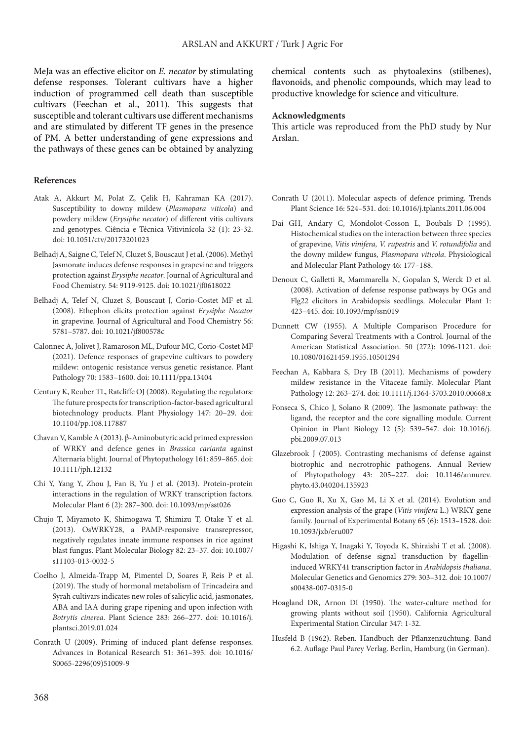MeJa was an effective elicitor on *E. necator* by stimulating defense responses. Tolerant cultivars have a higher induction of programmed cell death than susceptible cultivars (Feechan et al., 2011). This suggests that susceptible and tolerant cultivars use different mechanisms and are stimulated by different TF genes in the presence of PM. A better understanding of gene expressions and the pathways of these genes can be obtained by analyzing

#### **References**

- Atak A, Akkurt M, Polat Z, Çelik H, Kahraman KA (2017). Susceptibility to downy mildew (*Plasmopara viticola*) and powdery mildew (*Erysiphe necator*) of different vitis cultivars and genotypes. Ciência e Técnica Vitivinícola 32 (1): 23-32. [doi: 10.1051/ctv/20173201023](https://doi.org/10.1051/ctv/20173201023)
- Belhadj A, Saigne C, Telef N, Cluzet S, Bouscaut J et al. (2006). Methyl Jasmonate induces defense responses in grapevine and triggers protection against *Erysiphe necator*. Journal of Agricultural and Food Chemistry. 54: 9119-9125. [doi: 10.1021/jf0618022](https://doi.org/10.1021/jf0618022)
- Belhadj A, Telef N, Cluzet S, Bouscaut J, Corio-Costet MF et al. (2008). Ethephon elicits protection against *Erysiphe Necator* in grapevine. Journal of Agricultural and Food Chemistry 56: 5781–5787. doi: 10.1021/jf800578c
- Calonnec A, Jolivet J, Ramaroson ML, Dufour MC, Corio-Costet MF (2021). Defence responses of grapevine cultivars to powdery mildew: ontogenic resistance versus genetic resistance. Plant Pathology 70: 1583–1600. doi: 10.1111/ppa.13404
- Century K, Reuber TL, Ratcliffe OJ (2008). Regulating the regulators: The future prospects for transcription-factor-based agricultural biotechnology products. Plant Physiology 147: 20–29. [doi:](https://doi.org/10.1104/pp.108.117887) [10.1104/pp.108.117887](https://doi.org/10.1104/pp.108.117887)
- Chavan V, Kamble A (2013). β-Aminobutyric acid primed expression of WRKY and defence genes in *Brassica carianta* against Alternaria blight. Journal of Phytopathology 161: 859–865. [doi:](https://doi.org/10.1111/jph.12132) [10.1111/jph.12132](https://doi.org/10.1111/jph.12132)
- Chi Y, Yang Y, Zhou J, Fan B, Yu J et al. (2013). Protein-protein interactions in the regulation of WRKY transcription factors. Molecular Plant 6 (2): 287–300. [doi: 10.1093/mp/sst026](https://doi.org/10.1093/mp/sst026)
- Chujo T, Miyamoto K, Shimogawa T, Shimizu T, Otake Y et al. (2013). OsWRKY28, a PAMP-responsive transrepressor, negatively regulates innate immune responses in rice against blast fungus. Plant Molecular Biology 82: 23–37. doi: 10.1007/ s11103-013-0032-5
- Coelho J, Almeida-Trapp M, Pimentel D, Soares F, Reis P et al. (2019). The study of hormonal metabolism of Trincadeira and Syrah cultivars indicates new roles of salicylic acid, jasmonates, ABA and IAA during grape ripening and upon infection with *Botrytis cinerea*. Plant Science 283: 266–277. doi: 10.1016/j. plantsci.2019.01.024
- Conrath U (2009). Priming of induced plant defense responses. Advances in Botanical Research 51: 361–395. [doi: 10.1016/](https://doi.org/10.1016/S0065-2296(09)51009-9) [S0065-2296\(09\)51009-9](https://doi.org/10.1016/S0065-2296(09)51009-9)

chemical contents such as phytoalexins (stilbenes), flavonoids, and phenolic compounds, which may lead to productive knowledge for science and viticulture.

#### **Acknowledgments**

This article was reproduced from the PhD study by Nur Arslan.

- Conrath U (2011). Molecular aspects of defence priming. Trends Plant Science 16: 524–531. doi: 10.1016/j.tplants.2011.06.004
- Dai GH, Andary C, Mondolot-Cosson L, Boubals D (1995). Histochemical studies on the interaction between three species of grapevine, *Vitis vinifera, V. rupestris* and *V. rotundifolia* and the downy mildew fungus, *Plasmopara viticola*. Physiological and Molecular Plant Pathology 46: 177–188.
- Denoux C, Galletti R, Mammarella N, Gopalan S, Werck D et al. (2008). Activation of defense response pathways by OGs and Flg22 elicitors in Arabidopsis seedlings. Molecular Plant 1: 423–445. doi: 10.1093/mp/ssn019
- Dunnett CW (1955). A Multiple Comparison Procedure for Comparing Several Treatments with a Control. Journal of the American Statistical Association. 50 (272): 1096-1121. doi: 10.1080/01621459.1955.10501294
- Feechan A, Kabbara S, Dry IB (2011). Mechanisms of powdery mildew resistance in the Vitaceae family. Molecular Plant Pathology 12: 263–274. doi: 10.1111/j.1364-3703.2010.00668.x
- Fonseca S, Chico J, Solano R (2009). The Jasmonate pathway: the ligand, the receptor and the core signalling module. Current Opinion in Plant Biology 12 (5): 539–547. doi: [10.1016/j.](https://doi.org/10.1016/j.pbi.2009.07.013) [pbi.2009.07.013](https://doi.org/10.1016/j.pbi.2009.07.013)
- Glazebrook J (2005). Contrasting mechanisms of defense against biotrophic and necrotrophic pathogens. Annual Review of Phytopathology 43: 205–227. doi: 10.1146/annurev. phyto.43.040204.135923
- Guo C, Guo R, Xu X, Gao M, Li X et al. (2014). Evolution and expression analysis of the grape (*Vitis vinifera* L.) WRKY gene family. Journal of Experimental Botany 65 (6): 1513–1528. doi: 10.1093/jxb/eru007
- Higashi K, Ishiga Y, Inagaki Y, Toyoda K, Shiraishi T et al. (2008). Modulation of defense signal transduction by flagellininduced WRKY41 transcription factor in *Arabidopsis thaliana*. Molecular Genetics and Genomics 279: 303–312. doi: 10.1007/ s00438-007-0315-0
- Hoagland DR, Arnon DI (1950). The water-culture method for growing plants without soil (1950). California Agricultural Experimental Station Circular 347: 1-32.
- Husfeld B (1962). Reben. Handbuch der Pflanzenzüchtung. Band 6.2. Auflage Paul Parey Verlag. Berlin, Hamburg (in German).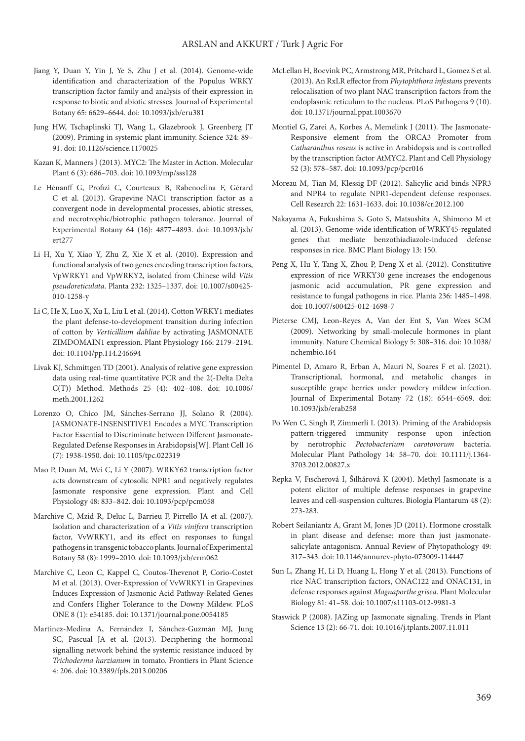- Jiang Y, Duan Y, Yin J, Ye S, Zhu J et al. (2014). Genome-wide identification and characterization of the Populus WRKY transcription factor family and analysis of their expression in response to biotic and abiotic stresses. Journal of Experimental Botany 65: 6629–6644. doi: 10.1093/jxb/eru381
- Jung HW, Tschaplinski TJ, Wang L, Glazebrook J, Greenberg JT (2009). Priming in systemic plant immunity. Science 324: 89– 91. doi: 10.1126/science.1170025
- Kazan K, Manners J (2013). MYC2: The Master in Action. Molecular Plant 6 (3): 686–703. doi: 10.1093/mp/sss128
- Le Hénanff G, Profizi C, Courteaux B, Rabenoelina F, Gérard C et al. (2013). Grapevine NAC1 transcription factor as a convergent node in developmental processes, abiotic stresses, and necrotrophic/biotrophic pathogen tolerance. Journal of Experimental Botany 64 (16): 4877–4893. [doi: 10.1093/jxb/](https://doi.org/10.1093/jxb/ert277) [ert277](https://doi.org/10.1093/jxb/ert277)
- Li H, Xu Y, Xiao Y, Zhu Z, Xie X et al. (2010). Expression and functional analysis of two genes encoding transcription factors, VpWRKY1 and VpWRKY2, isolated from Chinese wild *Vitis pseudoreticulata*. Planta 232: 1325–1337. doi: 10.1007/s00425- 010-1258-y
- Li C, He X, Luo X, Xu L, Liu L et al. (2014). Cotton WRKY1 mediates the plant defense-to-development transition during infection of cotton by *Verticillium dahliae* by activating JASMONATE ZIMDOMAIN1 expression. Plant Physiology 166: 2179–2194. doi: 10.1104/pp.114.246694
- Livak KJ, Schmittgen TD (2001). Analysis of relative gene expression data using real-time quantitative PCR and the 2(-Delta Delta C(T)) Method. Methods 25 (4): 402–408. doi: 10.1006/ meth.2001.1262
- Lorenzo O, Chico JM, Sánches-Serrano JJ, Solano R (2004). JASMONATE-INSENSITIVE1 Encodes a MYC Transcription Factor Essential to Discriminate between Different Jasmonate-Regulated Defense Responses in Arabidopsis[W]. Plant Cell 16 (7): 1938-1950. doi: 10.1105/tpc.022319
- Mao P, Duan M, Wei C, Li Y (2007). WRKY62 transcription factor acts downstream of cytosolic NPR1 and negatively regulates Jasmonate responsive gene expression. Plant and Cell Physiology 48: 833–842. [doi: 10.1093/pcp/pcm058](https://doi.org/10.1093/pcp/pcm058)
- Marchive C, Mzid R, Deluc L, Barrieu F, Pirrello JA et al. (2007). Isolation and characterization of a *Vitis vinifera* transcription factor, VvWRKY1, and its effect on responses to fungal pathogens in transgenic tobacco plants. Journal of Experimental Botany 58 (8): 1999–2010. [doi: 10.1093/jxb/erm062](https://doi.org/10.1093/jxb/erm062)
- Marchive C, Leon C, Kappel C, Coutos-Thevenot P, Corio-Costet M et al. (2013). Over-Expression of VvWRKY1 in Grapevines Induces Expression of Jasmonic Acid Pathway-Related Genes and Confers Higher Tolerance to the Downy Mildew. PLoS ONE 8 (1): e54185. [doi: 10.1371/journal.pone.0054185](https://doi.org/10.1371/journal.pone.0054185)
- Martinez-Medina A, Fernández I, Sánchez-Guzmán MJ, Jung SC, Pascual JA et al. (2013). Deciphering the hormonal signalling network behind the systemic resistance induced by *Trichoderma harzianum* in tomato. Frontiers in Plant Science 4: 206. [doi: 10.3389/fpls.2013.00206](https://doi.org/10.3389/fpls.2013.00206)
- McLellan H, Boevink PC, Armstrong MR, Pritchard L, Gomez S et al. (2013). An RxLR effector from *Phytophthora infestans* prevents relocalisation of two plant NAC transcription factors from the endoplasmic reticulum to the nucleus. PLoS Pathogens 9 (10). [doi: 10.1371/journal.ppat.1003670](https://doi.org/10.1371/journal.ppat.1003670)
- Montiel G, Zarei A, Korbes A, Memelink J (2011). The Jasmonate-Responsive element from the ORCA3 Promoter from *Catharanthus roseus* is active in Arabidopsis and is controlled by the transcription factor AtMYC2. Plant and Cell Physiology 52 (3): 578–587. doi: 10.1093/pcp/pcr016
- Moreau M, Tian M, Klessig DF (2012). Salicylic acid binds NPR3 and NPR4 to regulate NPR1-dependent defense responses. Cell Research 22: 1631-1633. doi: 10.1038/cr.2012.100
- Nakayama A, Fukushima S, Goto S, Matsushita A, Shimono M et al. (2013). Genome-wide identification of WRKY45-regulated genes that mediate benzothiadiazole-induced defense responses in rice. BMC Plant Biology 13: 150.
- Peng X, Hu Y, Tang X, Zhou P, Deng X et al. (2012). Constitutive expression of rice WRKY30 gene increases the endogenous jasmonic acid accumulation, PR gene expression and resistance to fungal pathogens in rice. Planta 236: 1485–1498. doi: 10.1007/s00425-012-1698-7
- Pieterse CMJ, Leon-Reyes A, Van der Ent S, Van Wees SCM (2009). Networking by small-molecule hormones in plant immunity. Nature Chemical Biology 5: 308–316. doi: 10.1038/ nchembio.164
- Pimentel D, Amaro R, Erban A, Mauri N, Soares F et al. (2021). Transcriptional, hormonal, and metabolic changes in susceptible grape berries under powdery mildew infection. Journal of Experimental Botany 72 (18): 6544–6569. doi: 10.1093/jxb/erab258
- Po Wen C, Singh P, Zimmerli L (2013). Priming of the Arabidopsis pattern-triggered immunity response upon infection by nerotrophic *Pectobacterium carotovorum* bacteria. Molecular Plant Pathology 14: 58–70. doi: 10.1111/j.1364- 3703.2012.00827.x
- Repka V, Fıscherová I, Šılhárová K (2004). Methyl Jasmonate is a potent elicitor of multiple defense responses in grapevine leaves and cell-suspension cultures. Biologia Plantarum 48 (2): 273-283.
- Robert Seilaniantz A, Grant M, Jones JD (2011). Hormone crosstalk in plant disease and defense: more than just jasmonatesalicylate antagonism. Annual Review of Phytopathology 49: 317–343. doi: 10.1146/annurev-phyto-073009-114447
- Sun L, Zhang H, Li D, Huang L, Hong Y et al. (2013). Functions of rice NAC transcription factors, ONAC122 and ONAC131, in defense responses against *Magnaporthe grisea*. Plant Molecular Biology 81: 41–58. doi: 10.1007/s11103-012-9981-3
- Staswick P (2008). JAZing up Jasmonate signaling. Trends in Plant Science 13 (2): 66-71. [doi: 10.1016/j.tplants.2007.11.011](https://doi.org/10.1016/j.tplants.2007.11.011)